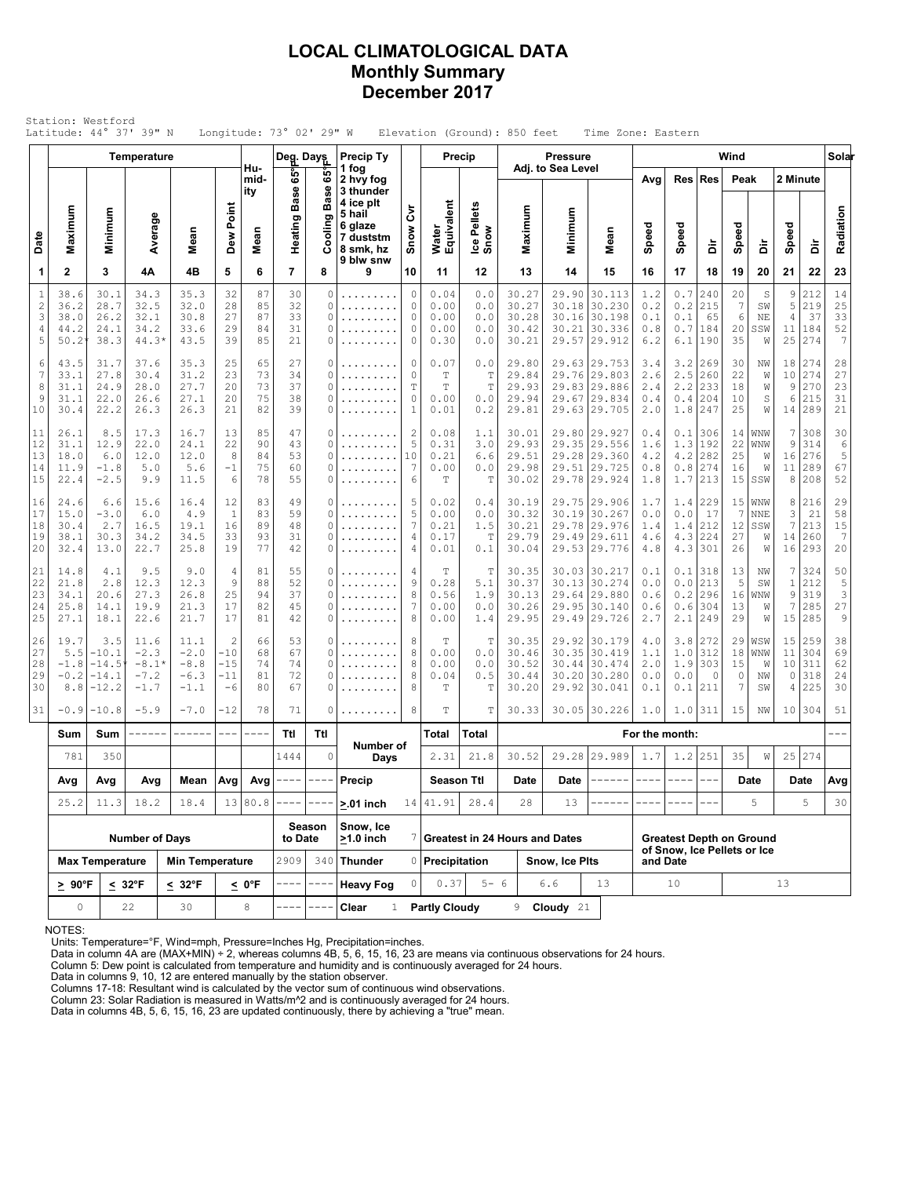### **LOCAL CLIMATOLOGICAL DATA Monthly Summary December 2017**

| Station: Westford<br>Latitude: 44° 37' 39" N<br>Longitude: 73° 02' 29" W<br>Elevation (Ground): 850 feet<br>Time Zone: Eastern<br>Wind<br>Precip Ty<br>Precip<br><b>Pressure</b><br>Temperature<br>Deg. Days<br>Adj. to Sea Level |                                                |                                               |                                               |                                               |                                                   |                            |                            |                                                                                                                                                                                                                                                                                                                                                                                              |                                                                       |                                     |                                          |                                                 |                                           |                         |                                                                                                                                                                                                                                                                                                                                                                                                                                                                                            |                                     |                                                                |                                 |                                         |                                    |                                   |                                 |                                        |
|-----------------------------------------------------------------------------------------------------------------------------------------------------------------------------------------------------------------------------------|------------------------------------------------|-----------------------------------------------|-----------------------------------------------|-----------------------------------------------|---------------------------------------------------|----------------------------|----------------------------|----------------------------------------------------------------------------------------------------------------------------------------------------------------------------------------------------------------------------------------------------------------------------------------------------------------------------------------------------------------------------------------------|-----------------------------------------------------------------------|-------------------------------------|------------------------------------------|-------------------------------------------------|-------------------------------------------|-------------------------|--------------------------------------------------------------------------------------------------------------------------------------------------------------------------------------------------------------------------------------------------------------------------------------------------------------------------------------------------------------------------------------------------------------------------------------------------------------------------------------------|-------------------------------------|----------------------------------------------------------------|---------------------------------|-----------------------------------------|------------------------------------|-----------------------------------|---------------------------------|----------------------------------------|
|                                                                                                                                                                                                                                   |                                                |                                               |                                               |                                               |                                                   |                            |                            |                                                                                                                                                                                                                                                                                                                                                                                              |                                                                       |                                     |                                          |                                                 |                                           |                         |                                                                                                                                                                                                                                                                                                                                                                                                                                                                                            |                                     |                                                                |                                 |                                         |                                    |                                   |                                 | Solar                                  |
|                                                                                                                                                                                                                                   |                                                |                                               |                                               |                                               |                                                   | Hu-<br>mid-<br>ity         | ទី<br>Base                 | မ္မ<br><b>Base</b>                                                                                                                                                                                                                                                                                                                                                                           | 1 fog<br>2 hvy fog<br>3 thunder                                       |                                     |                                          |                                                 |                                           |                         |                                                                                                                                                                                                                                                                                                                                                                                                                                                                                            | Avg                                 | Res                                                            | <b>Res</b>                      | Peak                                    |                                    | 2 Minute                          |                                 |                                        |
| Date                                                                                                                                                                                                                              | Maximum                                        | Minimum                                       | Average                                       | Mean                                          | Dew Point                                         | Mean                       | Heating                    | ō<br>Ξ                                                                                                                                                                                                                                                                                                                                                                                       | 4 ice plt<br>5 hail<br>6 glaze<br>7 duststm<br>8 smk, hz<br>9 blw snw | ξ<br>Snow                           | Water<br>Equivalent                      | Ice Pellets<br>Snow                             | Maximum                                   | Minimum                 | Mean                                                                                                                                                                                                                                                                                                                                                                                                                                                                                       | Speed                               | Speed                                                          | à                               | Speed                                   | à                                  | Speed                             | à                               | Radiation                              |
| 1                                                                                                                                                                                                                                 | $\mathbf{2}$                                   | 3                                             | 4Α                                            | 4B                                            | 5                                                 | 6                          | $\overline{7}$             | 8                                                                                                                                                                                                                                                                                                                                                                                            | 9                                                                     | 10                                  | 11                                       | 12                                              | 13                                        | 14                      | 15                                                                                                                                                                                                                                                                                                                                                                                                                                                                                         | 16                                  | 17                                                             | 18                              | 19                                      | 20                                 | 21                                | 22                              | 23                                     |
| $\mathbf{1}$<br>$\sqrt{2}$<br>3<br>4<br>5                                                                                                                                                                                         | 38.6<br>36.2<br>38.0<br>44.2<br>$50.2^{\circ}$ | 30.1<br>28.7<br>26.2<br>24.1<br>38.3          | 34.3<br>32.5<br>32.1<br>34.2<br>$44.3*$       | 35.3<br>32.0<br>30.8<br>33.6<br>43.5          | 32<br>28<br>27<br>29<br>39                        | 87<br>85<br>87<br>84<br>85 | 30<br>32<br>33<br>31<br>21 | 0<br>0<br>0<br>0<br>0                                                                                                                                                                                                                                                                                                                                                                        | .<br>.<br>.                                                           | 0<br>0<br>0<br>0<br>0               | 0.04<br>0.00<br>0.00<br>0.00<br>0.30     | 0.0<br>0.0<br>0.0<br>0.0<br>0.0                 | 30.27<br>30.27<br>30.28<br>30.42<br>30.21 | 30.21                   | 29.90 30.113<br>30.18 30.230<br>30.16 30.198<br>30.336<br>29.57 29.912                                                                                                                                                                                                                                                                                                                                                                                                                     | 1.2<br>0.2<br>0.1<br>0.8<br>6.2     | 0.7<br>$0.2$<br>0.1<br>0.7<br>6.1                              | 240<br>215<br>65<br>184<br>190  | 20<br>7<br>6<br>20<br>35                | S<br>SW<br>NE<br>SSW<br>W          | 9<br>5<br>4<br>11<br>25           | 212<br>219<br>37<br>184<br>274  | 14<br>25<br>33<br>52<br>$\overline{7}$ |
| 6<br>$\overline{7}$<br>8<br>9<br>10                                                                                                                                                                                               | 43.5<br>33.1<br>31.1<br>31.1<br>30.4           | 31.7<br>27.8<br>24.9<br>22.0<br>22.2          | 37.6<br>30.4<br>28.0<br>26.6<br>26.3          | 35.3<br>31.2<br>27.7<br>27.1<br>26.3          | 25<br>23<br>20<br>20<br>21                        | 65<br>73<br>73<br>75<br>82 | 27<br>34<br>37<br>38<br>39 | 0<br>0<br>0<br>0<br>0                                                                                                                                                                                                                                                                                                                                                                        | .<br>.<br>.                                                           | 0<br>0<br>T<br>0<br>$\mathbf{1}$    | 0.07<br>$\mathbb T$<br>T<br>0.00<br>0.01 | 0.0<br>$\mathbb T$<br>$\mathbb T$<br>0.0<br>0.2 | 29.80<br>29.84<br>29.93<br>29.94<br>29.81 | 29.76<br>29.67          | 29.63 29.753<br>29.803<br>29.83 29.886<br>29.834<br>29.63 29.705                                                                                                                                                                                                                                                                                                                                                                                                                           | 3.4<br>2.6<br>2.4<br>0.4<br>2.0     | 3.2<br>2.5<br>2.2<br>0.4<br>1.8                                | 269<br>260<br>233<br>204<br>247 | 30<br>22<br>18<br>10<br>25              | ΝW<br>W<br>W<br>S<br>W             | 18<br>10<br>9<br>6<br>14          | 274<br>274<br>270<br>215<br>289 | 28<br>27<br>23<br>31<br>21             |
| 11<br>12<br>13<br>14<br>15                                                                                                                                                                                                        | 26.1<br>31.1<br>18.0<br>11.9<br>22.4           | 8.5<br>12.9<br>6.0<br>$-1.8$<br>$-2.5$        | 17.3<br>22.0<br>12.0<br>5.0<br>9.9            | 16.7<br>24.1<br>12.0<br>5.6<br>11.5           | 13<br>22<br>8<br>$-1$<br>6                        | 85<br>90<br>84<br>75<br>78 | 47<br>43<br>53<br>60<br>55 | 0<br>0<br>0<br>0<br>0                                                                                                                                                                                                                                                                                                                                                                        | .<br>.<br>.<br>.                                                      | $\overline{c}$<br>5<br>10<br>7<br>6 | 0.08<br>0.31<br>0.21<br>0.00<br>T        | 1.1<br>3.0<br>6.6<br>0.0<br>T                   | 30.01<br>29.93<br>29.51<br>29.98<br>30.02 | 29.51                   | 29.80 29.927<br>29.35 29.556<br>29.28 29.360<br>29.725<br>29.78 29.924                                                                                                                                                                                                                                                                                                                                                                                                                     | 0.4<br>1.6<br>4.2<br>0.8<br>1.8     | 0.1<br>1.3<br>4.2<br>0.8<br>1.7                                | 306<br>192<br>282<br>274<br>213 | 14<br>22<br>25<br>16<br>15              | WNW<br>WNW<br>W<br>W<br>SSW        | 7<br>9<br>16<br>11<br>8           | 308<br>314<br>276<br>289<br>208 | 30<br>$\epsilon$<br>5<br>67<br>52      |
| 16<br>17<br>18<br>19<br>20                                                                                                                                                                                                        | 24.6<br>15.0<br>30.4<br>38.1<br>32.4           | 6.6<br>$-3.0$<br>2.7<br>30.3<br>13.0          | 15.6<br>6.0<br>16.5<br>34.2<br>22.7           | 16.4<br>4.9<br>19.1<br>34.5<br>25.8           | 12<br>$\mathbf{1}$<br>16<br>33<br>19              | 83<br>83<br>89<br>93<br>77 | 49<br>59<br>48<br>31<br>42 | 0<br>0<br>0<br>0<br>0                                                                                                                                                                                                                                                                                                                                                                        | .<br>.<br>.<br>.                                                      | 5<br>5<br>7<br>4<br>4               | 0.02<br>0.00<br>0.21<br>0.17<br>0.01     | 0.4<br>0.0<br>1.5<br>T<br>0.1                   | 30.19<br>30.32<br>30.21<br>29.79<br>30.04 | 29.49                   | 29.75 29.906<br>30.19 30.267<br>29.78 29.976<br>29.611<br>29.53 29.776                                                                                                                                                                                                                                                                                                                                                                                                                     | 1.7<br>0.0<br>1.4<br>4.6<br>4.8     | 1.4<br>0.0<br>1.4<br>4.3<br>4.3                                | 229<br>17<br>212<br>224<br>301  | 15<br>$7\phantom{.0}$<br>12<br>27<br>26 | WNW<br><b>NNE</b><br>SSW<br>W<br>W | 8<br>3<br>7<br>14<br>16           | 216<br>21<br>213<br>260<br>293  | 29<br>58<br>15<br>$\overline{7}$<br>20 |
| 21<br>22<br>23<br>24<br>25                                                                                                                                                                                                        | 14.8<br>21.8<br>34.1<br>25.8<br>27.1           | 4.1<br>2.8<br>20.6<br>14.1<br>18.1            | 9.5<br>12.3<br>27.3<br>19.9<br>22.6           | 9.0<br>12.3<br>26.8<br>21.3<br>21.7           | 4<br>9<br>25<br>17<br>17                          | 81<br>88<br>94<br>82<br>81 | 55<br>52<br>37<br>45<br>42 | 0<br>0<br>0<br>0<br>0                                                                                                                                                                                                                                                                                                                                                                        | .<br>.<br>.                                                           | 4<br>9<br>8<br>7<br>8               | Т<br>0.28<br>0.56<br>0.00<br>0.00        | Т<br>5.1<br>1.9<br>0.0<br>1.4                   | 30.35<br>30.37<br>30.13<br>30.26<br>29.95 |                         | 30.03 30.217<br>30.13 30.274<br>29.64 29.880<br>29.95 30.140<br>29.49 29.726                                                                                                                                                                                                                                                                                                                                                                                                               | 0.1<br>0.0<br>0.6<br>0.6<br>2.7     | 0.1<br>0.0<br>0.2<br>0.6<br>2.1                                | 318<br>213<br>296<br>304<br>249 | 13<br>5<br>16<br>13<br>29               | ΝW<br>SW<br>WNW<br>W<br>W          | 7<br>$\mathbf{1}$<br>9<br>7<br>15 | 324<br>212<br>319<br>285<br>285 | 50<br>5<br>3<br>27<br>9                |
| 26<br>27<br>28<br>29<br>30                                                                                                                                                                                                        | 19.7<br>5.5<br>$-1.8$<br>$-0.2$<br>8.8         | 3.5<br>$-10.1$<br>$-14.5$<br>-14.1<br>$-12.2$ | 11.6<br>$-2.3$<br>$-8.1*$<br>$-7.2$<br>$-1.7$ | 11.1<br>$-2.0$<br>$-8.8$<br>$-6.3$<br>$-1.1$  | $\overline{c}$<br>$-10$<br>$-15$<br>$-11$<br>$-6$ | 66<br>68<br>74<br>81<br>80 | 53<br>67<br>74<br>72<br>67 | 0<br>0<br>0<br>0<br>0                                                                                                                                                                                                                                                                                                                                                                        | .                                                                     | 8<br>8<br>8<br>8<br>8               | T<br>0.00<br>0.00<br>0.04<br>Т           | $\mathbb T$<br>0.0<br>0.0<br>0.5<br>$\mathbb T$ | 30.35<br>30.46<br>30.52<br>30.44<br>30.20 | 30.35<br>30.44<br>30.20 | 29.92 30.179<br>30.419<br>30.474<br>30.280<br>29.92 30.041                                                                                                                                                                                                                                                                                                                                                                                                                                 | 4.0<br>1.1<br>2.0<br>0.0<br>$0.1\,$ | 3.8<br>1.0<br>1.9<br>0.0<br>0.1                                | 272<br>312<br>303<br>0<br>211   | 29<br>18<br>15<br>$\circ$<br>7          | WSW<br>WNW<br>W<br>ΝW<br>SW        | 15<br>11<br>10<br>0<br>4          | 259<br>304<br>311<br>318<br>225 | 38<br>69<br>62<br>24<br>30             |
| 31                                                                                                                                                                                                                                | $-0.9$                                         | $-10.8$                                       | $-5.9$                                        | $-7.0$                                        | $-12$                                             | 78                         | 71                         | 0                                                                                                                                                                                                                                                                                                                                                                                            | .                                                                     | 8                                   | T                                        | T                                               | 30.33                                     |                         | 30.05 30.226                                                                                                                                                                                                                                                                                                                                                                                                                                                                               | 1.0                                 | 1.0                                                            | 311                             | 15                                      | NW                                 |                                   | 10 304                          | 51                                     |
|                                                                                                                                                                                                                                   | Sum                                            | Sum                                           | ------                                        | ------                                        | $\qquad \qquad - -$                               | ----                       | Ttl                        | Ttl                                                                                                                                                                                                                                                                                                                                                                                          | Number of                                                             |                                     | Total                                    | Total                                           |                                           |                         |                                                                                                                                                                                                                                                                                                                                                                                                                                                                                            | For the month:                      |                                                                |                                 |                                         |                                    |                                   |                                 |                                        |
|                                                                                                                                                                                                                                   | 781                                            | 350                                           |                                               |                                               |                                                   |                            | 1444                       | 0                                                                                                                                                                                                                                                                                                                                                                                            | Days                                                                  |                                     | 2.31                                     | 21.8                                            | 30.52                                     |                         | 29.28 29.989                                                                                                                                                                                                                                                                                                                                                                                                                                                                               | 1.7                                 |                                                                | $1.2$ 251                       | 35                                      | W                                  |                                   | 25 274                          |                                        |
|                                                                                                                                                                                                                                   | Avg                                            | Avg                                           | Avg                                           | Mean                                          |                                                   | $Avg \mid Avg \mid ---$    |                            | $\frac{1}{2} \frac{1}{2} \frac{1}{2} \frac{1}{2} \frac{1}{2} \frac{1}{2} \frac{1}{2} \frac{1}{2} \frac{1}{2} \frac{1}{2} \frac{1}{2} \frac{1}{2} \frac{1}{2} \frac{1}{2} \frac{1}{2} \frac{1}{2} \frac{1}{2} \frac{1}{2} \frac{1}{2} \frac{1}{2} \frac{1}{2} \frac{1}{2} \frac{1}{2} \frac{1}{2} \frac{1}{2} \frac{1}{2} \frac{1}{2} \frac{1}{2} \frac{1}{2} \frac{1}{2} \frac{1}{2} \frac{$ | Precip                                                                |                                     | <b>Season Ttl</b>                        |                                                 | Date                                      | Date                    | $\begin{tabular}{ccccc} \multicolumn{2}{c} {\textbf{1}} & \multicolumn{2}{c} {\textbf{2}} & \multicolumn{2}{c} {\textbf{3}} & \multicolumn{2}{c} {\textbf{4}} & \multicolumn{2}{c} {\textbf{5}} & \multicolumn{2}{c} {\textbf{6}} & \multicolumn{2}{c} {\textbf{7}} & \multicolumn{2}{c} {\textbf{8}} & \multicolumn{2}{c} {\textbf{9}} & \multicolumn{2}{c} {\textbf{1}} & \multicolumn{2}{c} {\textbf{1}} & \multicolumn{2}{c} {\textbf{1}} & \multicolumn{2}{c} {\textbf{1}} & \multic$ | $\qquad \qquad - - -$               | $\qquad \qquad - \qquad -$                                     |                                 |                                         | Date                               |                                   | Date                            | Avg                                    |
|                                                                                                                                                                                                                                   | 25.2                                           | 11.3                                          | 18.2                                          | 18.4                                          |                                                   | 13 80.8                    |                            | Season                                                                                                                                                                                                                                                                                                                                                                                       | $> 01$ inch<br>Snow, Ice                                              |                                     | 14 41.91                                 | 28.4                                            | 28                                        | 13                      |                                                                                                                                                                                                                                                                                                                                                                                                                                                                                            |                                     |                                                                |                                 | 5                                       |                                    | 5                                 | 30                              |                                        |
|                                                                                                                                                                                                                                   |                                                |                                               | <b>Number of Days</b>                         |                                               |                                                   |                            | to Date<br>2909            |                                                                                                                                                                                                                                                                                                                                                                                              | $>1.0$ inch                                                           |                                     |                                          |                                                 | 7 Greatest in 24 Hours and Dates          |                         |                                                                                                                                                                                                                                                                                                                                                                                                                                                                                            |                                     | <b>Greatest Depth on Ground</b><br>of Snow, Ice Pellets or Ice |                                 |                                         |                                    |                                   |                                 |                                        |
|                                                                                                                                                                                                                                   | $\geq 90^{\circ}$ F                            | <b>Max Temperature</b>                        | $\leq 32^{\circ}F$                            | <b>Min Temperature</b><br>$\leq 32^{\circ}$ F |                                                   | <u>&lt;</u> 0°F            |                            |                                                                                                                                                                                                                                                                                                                                                                                              | 340 Thunder<br><b>Heavy Fog</b>                                       |                                     | 0 Precipitation<br>0.37                  | $5 - 6$                                         |                                           | Snow, Ice Pits<br>6.6   | 13                                                                                                                                                                                                                                                                                                                                                                                                                                                                                         |                                     | and Date<br>10                                                 |                                 |                                         |                                    | 13                                |                                 |                                        |
|                                                                                                                                                                                                                                   | 0                                              |                                               | 22                                            | 30                                            |                                                   | 8                          |                            |                                                                                                                                                                                                                                                                                                                                                                                              | Clear<br>$\mathbf{1}$                                                 |                                     | <b>Partly Cloudy</b>                     |                                                 |                                           | 9 <b>Cloudy</b> 21      |                                                                                                                                                                                                                                                                                                                                                                                                                                                                                            |                                     |                                                                |                                 |                                         |                                    |                                   |                                 |                                        |

NOTES:

Units: Temperature=°F, Wind=mph, Pressure=Inches Hg, Precipitation=inches. Data in column 4A are (MAX+MIN) ÷ 2, whereas columns 4B, 5, 6, 15, 16, 23 are means via continuous observations for 24 hours.

Column 5: Dew point is calculated from temperature and humidity and is continuously averaged for 24 hours.

Data in columns 9, 10, 12 are entered manually by the station observer. Columns 17-18: Resultant wind is calculated by the vector sum of continuous wind observations.

Column 23: Solar Radiation is measured in Watts/m^2 and is continuously averaged for 24 hours.

Data in columns 4B, 5, 6, 15, 16, 23 are updated continuously, there by achieving a "true" mean.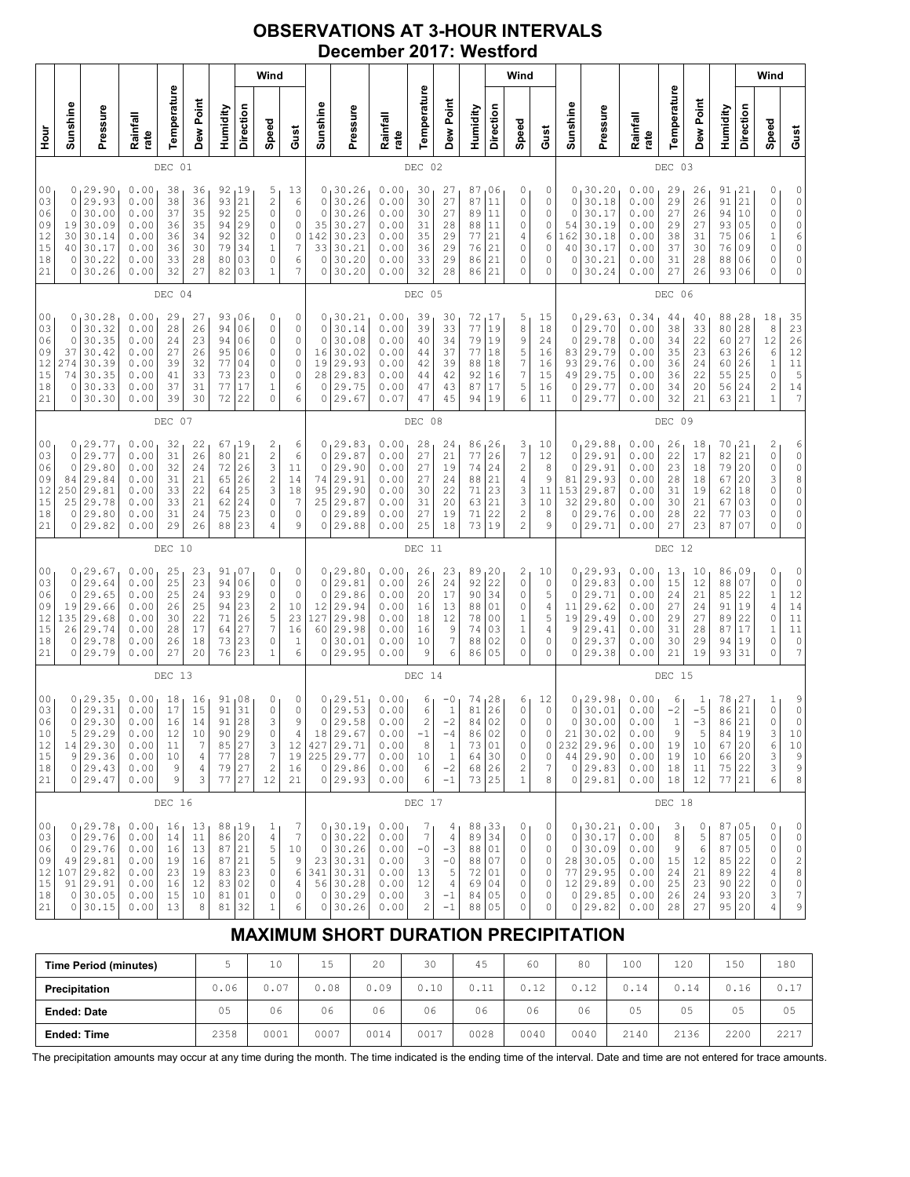### **OBSERVATIONS AT 3-HOUR INTERVALS December 2017: Westford**

| Wind<br>Sunshine                               |                                                                                 |                                                              |                                              |                                              |                                                 |                                              |                                                                                      |                                                          |                                                |                                                                                  |                                                              |                                                                       |                                                                               |                                                 |                                                          | Wind                                                                                   |                                              |                                          |                                                                                     |                                                              |                                                 |                                                           |                                                                    |                                                | Wind                                                                       |                                                                                                          |
|------------------------------------------------|---------------------------------------------------------------------------------|--------------------------------------------------------------|----------------------------------------------|----------------------------------------------|-------------------------------------------------|----------------------------------------------|--------------------------------------------------------------------------------------|----------------------------------------------------------|------------------------------------------------|----------------------------------------------------------------------------------|--------------------------------------------------------------|-----------------------------------------------------------------------|-------------------------------------------------------------------------------|-------------------------------------------------|----------------------------------------------------------|----------------------------------------------------------------------------------------|----------------------------------------------|------------------------------------------|-------------------------------------------------------------------------------------|--------------------------------------------------------------|-------------------------------------------------|-----------------------------------------------------------|--------------------------------------------------------------------|------------------------------------------------|----------------------------------------------------------------------------|----------------------------------------------------------------------------------------------------------|
|                                                | Pressure                                                                        | Rainfall<br>rate                                             | Temperature                                  | Dew Point                                    | Humidity                                        | Direction                                    | Speed                                                                                | Gust                                                     | Sunshine                                       | Pressure                                                                         | Rainfall<br>rate                                             | Temperature                                                           | Dew Point                                                                     | Humidity                                        | Direction                                                | Speed                                                                                  | Gust                                         | Sunshine                                 | Pressure                                                                            | Rainfall<br>rate                                             | Temperature                                     | Dew Point                                                 | Humidity                                                           | Direction                                      | Speed                                                                      | Gust                                                                                                     |
| DEC 01<br>0                                    |                                                                                 |                                                              |                                              |                                              |                                                 |                                              |                                                                                      |                                                          |                                                |                                                                                  | DEC 02                                                       |                                                                       |                                                                               |                                                 |                                                          |                                                                                        |                                              |                                          |                                                                                     | DEC 03                                                       |                                                 |                                                           |                                                                    |                                                |                                                                            |                                                                                                          |
| 19<br>30<br>40<br>0                            | 29.90<br>29.93<br>30.00<br>30.09<br>30.14<br>30.17<br>30.22<br>30.26            | 0.00<br>0.00<br>0.00<br>0.00<br>0.00<br>0.00<br>0.00<br>0.00 | 38<br>38<br>37<br>36<br>36<br>36<br>33<br>32 | 36<br>36<br>35<br>35<br>34<br>30<br>28<br>27 | 92<br>93<br>92<br>94<br>92<br>79<br>80<br>82    | 19<br>21<br>25<br>29<br>32<br>34<br>03<br>03 | 5<br>$\overline{c}$<br>$\circ$<br>0<br>0<br>$\mathbf 1$<br>$\Omega$<br>$1\,$         | 13<br>6<br>0<br>0<br>$\circ$<br>7<br>6<br>7              | 0<br>0<br>$\circ$<br>35<br>142<br>33<br>0<br>0 | 30.26<br>30.26<br>30.26<br>30.27<br>30.23<br>30.21<br>30.20<br>30.20             | 0.00<br>0.00<br>0.00<br>0.00<br>0.00<br>0.00<br>0.00<br>0.00 | 30<br>30<br>30<br>31<br>35<br>36<br>33<br>32                          | 27<br>27<br>27<br>28<br>29<br>29<br>29<br>28                                  | 87<br>87<br>89<br>88<br>77<br>76<br>86<br>86    | 06<br>11<br>11<br>11<br>21<br>21<br>21<br>21             | 0<br>$\circ$<br>0<br>0<br>4<br>0<br>0<br>0                                             | 0<br>0<br>0<br>0<br>6<br>0<br>0<br>0         | 0<br>0<br>0<br>54<br>162<br>40<br>0<br>0 | 30.20<br>30.18<br>30.17<br>30.19<br>30.18<br>30.17<br>30.21<br>30.24                | 0.00<br>0.00<br>0.00<br>0.00<br>0.00<br>0.00<br>0.00<br>0.00 | 29<br>29<br>27<br>29<br>38<br>37<br>31<br>27    | 26<br>26<br>26<br>27<br>31<br>30<br>28<br>26              | 91<br>91<br>94<br>93<br>75<br>76<br>88<br>93                       | 21<br>21<br>10<br>05<br>06<br>09<br>06<br>06   | 0<br>$\mathbb O$<br>$\mathbb O$<br>0<br>1<br>0<br>0<br>$\Omega$            | 0<br>$\circ$<br>$\circ$<br>$\begin{matrix} 0 \\ 6 \end{matrix}$<br>0<br>0<br>0                           |
|                                                |                                                                                 |                                                              | DEC 04                                       |                                              |                                                 |                                              |                                                                                      |                                                          |                                                |                                                                                  |                                                              | DEC 05                                                                |                                                                               |                                                 |                                                          |                                                                                        |                                              |                                          |                                                                                     |                                                              | DEC 06                                          |                                                           |                                                                    |                                                |                                                                            |                                                                                                          |
| 0<br>0<br>0<br>37<br>274<br>74<br>$\circ$<br>0 | 30.28<br>30.32<br>30.35<br>30.42<br>30.39<br>30.35<br>30.33<br>30.30            | 0.00<br>0.00<br>0.00<br>0.00<br>0.00<br>0.00<br>0.00<br>0.00 | 29<br>28<br>24<br>27<br>39<br>41<br>37<br>39 | 27<br>26<br>23<br>26<br>32<br>33<br>31<br>30 | 93<br>94<br>94<br>95<br>77<br>73<br>77<br>72    | 06<br>06<br>06<br>06<br>04<br>23<br>17<br>22 | 0<br>$\circ$<br>0<br>0<br>$\circ$<br>0<br>$\mathbf 1$<br>$\circ$                     | 0<br>0<br>0<br>0<br>0<br>0<br>6<br>6                     | 0<br>0<br>$\circ$<br>16<br>19<br>28<br>0<br>0  | 30.21<br>30.14<br>30.08<br>30.02<br>29.93<br>29.83<br>29.75<br>29.67             | 0.00<br>0.00<br>0.00<br>0.00<br>0.00<br>0.00<br>0.00<br>0.07 | 39<br>39<br>40<br>44<br>42<br>44<br>47<br>47                          | 30<br>33<br>34<br>37<br>39<br>42<br>43<br>45                                  | 72<br>77<br>79<br>77<br>88<br>92<br>87<br>94    | 17<br>19<br>19<br>18<br>18<br>16<br>17<br>19             | 5<br>8<br>9<br>5<br>7<br>7<br>5<br>6                                                   | 15<br>18<br>24<br>16<br>16<br>15<br>16<br>11 | 0<br>0<br>0<br>83<br>93<br>49<br>0<br>0  | 29.63<br>29.70<br>29.78<br>29.79<br>29.76<br>29.75<br>29.77<br>29.77                | 0.34<br>0.00<br>0.00<br>0.00<br>0.00<br>0.00<br>0.00<br>0.00 | 44<br>38<br>34<br>35<br>36<br>36<br>34<br>32    | 40<br>33<br>22<br>23<br>24<br>22<br>20<br>21              | 88<br>80<br>60<br>63<br>60<br>55<br>56<br>63                       | 128<br> 28<br>27<br>26<br>26<br>25<br>24<br>21 | 18<br>8<br>12<br>6<br>$\,1\,$<br>0<br>$\overline{c}$<br>$\mathbf{1}$       | 35<br>23<br>$\begin{array}{c} 26 \\ 12 \end{array}$<br>$\begin{array}{c} 11 \\ 5 \end{array}$<br>14<br>7 |
| DEC 07                                         |                                                                                 |                                                              |                                              |                                              |                                                 |                                              |                                                                                      |                                                          |                                                | DEC 08                                                                           |                                                              |                                                                       |                                                                               |                                                 |                                                          |                                                                                        |                                              |                                          | DEC 09                                                                              |                                                              |                                                 |                                                           |                                                                    |                                                |                                                                            |                                                                                                          |
| 0<br>$\circ$<br>0<br>84<br>250<br>25<br>0<br>0 | 29.77<br>29.77<br>29.80<br>29.84<br>29.81<br>29.78<br>29.80<br>29.82            | 0.00<br>0.00<br>0.00<br>0.00<br>0.00<br>0.00<br>0.00<br>0.00 | 32<br>31<br>32<br>31<br>33<br>33<br>31<br>29 | 22<br>26<br>24<br>21<br>22<br>21<br>24<br>26 | 67<br>80<br>72<br>65<br>64<br>62<br>75<br>88    | 19<br>21<br>26<br>26<br>25<br>24<br>23<br>23 | $\overline{\mathbf{c}}$<br>$\frac{2}{3}$<br>$\overline{c}$<br>3<br>$\circ$<br>0<br>4 | 6<br>6<br>11<br>14<br>18<br>7<br>0<br>9                  | $\circ$<br>$\circ$<br>74<br>95<br>25<br>0<br>0 | 0, 29.83<br>29.87<br>29.90<br>29.91<br>29.90<br>29.87<br>29.89<br>29.88          | 0.00<br>0.00<br>0.00<br>0.00<br>0.00<br>0.00<br>0.00<br>0.00 | 28<br>27<br>27<br>27<br>30<br>31<br>27<br>25                          | 24<br>21<br>19<br>24<br>22<br>20<br>19<br>18                                  | 86<br>77<br>74<br>88<br>71<br>63<br>71<br>73    | 126<br>26<br>24<br>21<br>23<br>21<br>22<br>19            | 3<br>$\boldsymbol{7}$<br>$\overline{\mathbf{c}}$<br>4<br>3<br>3<br>2<br>$\overline{c}$ | 10<br>12<br>8<br>9<br>11<br>10<br>8<br>9     | 0<br>0<br>81<br>153<br>32<br>0<br>0      | 0, 29.88<br>29.91<br>29.91<br>29.93<br>29.87<br>29.80<br>29.76<br>29.71             | 0.00<br>0.00<br>0.00<br>0.00<br>0.00<br>0.00<br>0.00<br>0.00 | 26<br>22<br>23<br>28<br>31<br>30<br>28<br>27    | 18<br>17<br>18<br>18<br>19<br>21<br>22<br>23              | 70<br>82<br>79<br>67<br>62<br>67<br>77<br>87                       | 21  <br>21<br>20<br>20<br>18<br>03<br>03<br>07 | 2<br>$\mathsf O$<br>$\mathsf O$<br>3<br>0<br>0<br>0<br>$\Omega$            | 6<br>$\begin{matrix} 0 \\ 0 \end{matrix}$<br>$\begin{matrix} 8 \\ 0 \end{matrix}$<br>0<br>0<br>$\circ$   |
|                                                |                                                                                 |                                                              | DEC                                          | 10                                           |                                                 |                                              |                                                                                      |                                                          |                                                |                                                                                  |                                                              | DEC 11                                                                |                                                                               |                                                 |                                                          |                                                                                        |                                              |                                          |                                                                                     |                                                              | DEC 12                                          |                                                           |                                                                    |                                                |                                                                            |                                                                                                          |
| 0<br>0<br>19<br>135<br>26<br>0<br>0            | 0, 29.67<br>29.64<br>29.65<br>29.66<br>29.68<br>29.74<br>29.78<br>29.79         | 0.00<br>0.00<br>0.00<br>0.00<br>0.00<br>0.00<br>0.00<br>0.00 | 25<br>25<br>25<br>26<br>30<br>28<br>26<br>27 | 23<br>23<br>24<br>25<br>22<br>17<br>18<br>20 | 91,07<br>94<br>93<br>94<br>71<br>64<br>73<br>76 | 06<br>29<br>23<br>26<br>27<br>23<br>23       | 0<br>$\circ$<br>0<br>$\overline{c}$<br>5<br>$\overline{7}$<br>$\circ$<br>$\mathbf 1$ | 0<br>0<br>$\circ$<br>10<br>23<br>16<br>1<br>6            | 0<br>$\circ$<br>12<br>127<br>60<br>0<br>0      | 0, 29.80<br>29.81<br>29.86<br>29.94<br>29.98<br>29.98<br>30.01<br>29.95          | 0.00<br>0.00<br>0.00<br>0.00<br>0.00<br>0.00<br>0.00<br>0.00 | 26<br>26<br>20<br>16<br>18<br>16<br>10<br>9                           | 23<br>24<br>17<br>13<br>12<br>9<br>$\boldsymbol{7}$<br>6                      | 89<br>92<br>90<br>88<br>78<br>74<br>88<br>86    | 20<br>22<br>34<br>01<br>0 <sub>0</sub><br>03<br>02<br>05 | 2<br>$\circ$<br>0<br>0<br>1<br>$\mathbf{1}$<br>$\circ$<br>0                            | 10<br>0<br>5<br>4<br>5<br>4<br>0<br>0        | 0<br>0<br>11<br>19<br>9<br>0<br>0        | 0, 29.93<br>29.83<br>29.71<br>29.62<br>29.49<br>29.41<br>29.37<br>29.38             | 0.00<br>0.00<br>0.00<br>0.00<br>0.00<br>0.00<br>0.00<br>0.00 | 13<br>15<br>24<br>27<br>29<br>31<br>30<br>21    | 10<br>12<br>21<br>24<br>27<br>28<br>29<br>19              | 86,09<br>88<br>85<br>91<br>89<br>87<br>94<br>93                    | 07<br>22<br>19<br>22<br>17<br>19<br>31         | 0<br>$\mathsf O$<br>$\,1\,$<br>$\sqrt{4}$<br>0<br>$\,1\,$<br>0<br>$\Omega$ | $\circ$<br>$\circ$<br>12<br>14<br>$1\,1$<br>$1\,1$<br>0<br>7                                             |
|                                                |                                                                                 |                                                              | DEC 13                                       |                                              |                                                 |                                              |                                                                                      |                                                          |                                                |                                                                                  |                                                              | DEC 14                                                                |                                                                               |                                                 |                                                          |                                                                                        |                                              |                                          |                                                                                     |                                                              | DEC 15                                          |                                                           |                                                                    |                                                |                                                                            |                                                                                                          |
| 0<br>$\circ$<br>5<br>9                         | 0, 29.35<br>29.31<br>29.30<br>29.29<br>14 29.30<br>29.36<br>0 29.43<br>0 29.47  | 0.00<br>0.00<br>0.00<br>0.00<br>0.00<br>0.00<br>0.00<br>0.00 | 18<br>17<br>16<br>12<br>11<br>10<br>9<br>9   | 16<br>15<br>14<br>10<br>7<br>4<br>4<br>3     | 91<br>91<br>91<br>90<br>85<br>77<br>79<br>77    | 08<br>31<br>28<br>29<br>27<br>28<br>27<br>27 | 0<br>$\circ$<br>3<br>0<br>3<br>$\boldsymbol{7}$<br>$\sqrt{2}$<br>12                  | 0<br>0<br>9<br>4<br>12<br>19<br>16<br>21                 | 0<br>0<br>427<br>0                             | 0, 29.51<br>29.53<br>29.58<br>18 29.67<br>29.71<br>225 29.77<br>29.86<br>0 29.93 | 0.00<br>0.00<br>0.00<br>0.00<br>0.00<br>0.00<br>0.00<br>0.00 | 6<br>6<br>$\overline{c}$<br>$-1$<br>8<br>10<br>6<br>6                 | -0<br>$\,1\,$<br>$-2$<br>$-4$<br>$\mathbf{1}$<br>$\mathbf{1}$<br>$-2$<br>$-1$ | 74<br>81<br>84<br>86<br>73<br>64<br>68<br>73    | 28<br>26<br>02<br>02<br>01<br>30<br>26<br>25             | 6<br>0<br>0<br>0<br>0<br>0<br>2<br>$\mathbf{1}$                                        | 12<br>0<br>0<br>0<br>0<br>0<br>7<br>8        | 0<br>0<br>0<br>21<br>232                 | 29.98<br>30.01<br>30.00<br>30.02<br>29.96<br>44 29.90<br>$0$ 29.83<br>0 29.81       | 0.00<br>0.00<br>0.00<br>0.00<br>0.00<br>0.00<br>0.00<br>0.00 | 6<br>$-2$<br>$1\,$<br>9<br>19<br>19<br>18<br>18 | $\mathbf{1}$<br>$-5$<br>$-3$<br>5<br>10<br>10<br>11<br>12 | 78<br>86<br>86<br>84   19<br>67 20<br>66 20<br>75 22<br>77 21      | 27<br>21<br>21                                 | 1<br>$\mathsf O$<br>0<br>3<br>6<br>3<br>3<br>6                             | 9<br>$\circ$<br>0<br>10<br>10<br>$\mathsf 9$<br>9<br>8                                                   |
| DEC 16                                         |                                                                                 |                                                              |                                              |                                              |                                                 |                                              |                                                                                      |                                                          |                                                |                                                                                  |                                                              | DEC 17                                                                |                                                                               |                                                 |                                                          |                                                                                        |                                              |                                          |                                                                                     |                                                              | DEC 18                                          |                                                           |                                                                    |                                                |                                                                            |                                                                                                          |
| 0<br>0<br>107<br>0                             | 0, 29.78<br>29.76<br>29.76<br>49 29.81<br>29.82<br>91 29.91<br>0 30.05<br>30.15 | 0.00<br>0.00<br>0.00<br>0.00<br>0.00<br>0.00<br>0.00<br>0.00 | 16<br>14<br>16<br>19<br>23<br>16<br>15<br>13 | 13<br>11<br>13<br>16<br>19<br>12<br>10<br>8  | 88<br>86<br>87<br>87<br>83<br>83<br>81<br>81    | 19<br>20<br>21<br>21<br>23<br>02<br>01<br>32 | 1<br>4<br>5<br>5<br>0<br>0<br>$\mathbb O$<br>$\mathbf 1$                             | 7<br>$\sqrt{ }$<br>10<br>9<br>6<br>4<br>$\mathbb O$<br>6 | 0<br>$\circ$<br>341<br>0<br>$\circ$            | 0, 30.19<br>30.22<br>30.26<br>23 30.31<br>30.31<br>56 30.28<br>30.29<br>30.26    | 0.00<br>0.00<br>0.00<br>0.00<br>0.00<br>0.00<br>0.00<br>0.00 | 7<br>$\boldsymbol{7}$<br>$-0$<br>3<br>13<br>12<br>3<br>$\overline{c}$ | 4<br>4<br>$-3$<br>$-0$<br>5<br>$\overline{4}$<br>$-1$<br>$-1$                 | 88,33<br>89<br>88<br>88<br>72<br>69<br>84<br>88 | 34<br>01<br>07<br>01<br>04<br>05<br>05                   | 0<br>0<br>0<br>0<br>0<br>0<br>0<br>0                                                   | 0<br>0<br>0<br>$\circ$<br>0<br>0<br>0<br>0   | 0<br>$\circ$<br>77                       | 0, 30.21<br>30.17<br>30.09<br>28 30.05<br>29.95<br>12 29.89<br>$0$ 29.85<br>0 29.82 | 0.00<br>0.00<br>0.00<br>0.00<br>0.00<br>0.00<br>0.00<br>0.00 | 3<br>8<br>9<br>15<br>24<br>25<br>26<br>28       | $\circ$<br>$\mathsf S$<br>6<br>12<br>21<br>23<br>24<br>27 | 87,05<br>87 05<br>87 <br>85 22<br>89 22<br>90 22<br>93 20<br>95 20 | 05                                             | 0<br>0<br>0<br>0<br>4<br>0<br>3<br>4                                       | 0<br>$\mathbb O$<br>$\mathbb O$<br>$\sqrt{2}$<br>8<br>$\mathbb O$<br>$\boldsymbol{7}$<br>9               |

# **MAXIMUM SHORT DURATION PRECIPITATION**

| <b>Time Period (minutes)</b> |      | 10   | 15   | 20   | 30   | 45   | 60   | 80   | 100  | 120  | 150  | 180  |
|------------------------------|------|------|------|------|------|------|------|------|------|------|------|------|
| Precipitation                | 0.06 | 0.07 | 0.08 | 0.09 | 0.10 | 0.11 | 0.12 | 0.12 | 0.14 | 0.14 | 0.16 | 0.17 |
| <b>Ended: Date</b>           | 05   | 06   | 06   | 06   | 06   | 06   | 06   | 06   | 05   | 05   | 05   | 05   |
| <b>Ended: Time</b>           | 2358 | 0001 | 0007 | 0014 | 0017 | 0028 | 0040 | 0040 | 2140 | 2136 | 2200 | 2217 |

The precipitation amounts may occur at any time during the month. The time indicated is the ending time of the interval. Date and time are not entered for trace amounts.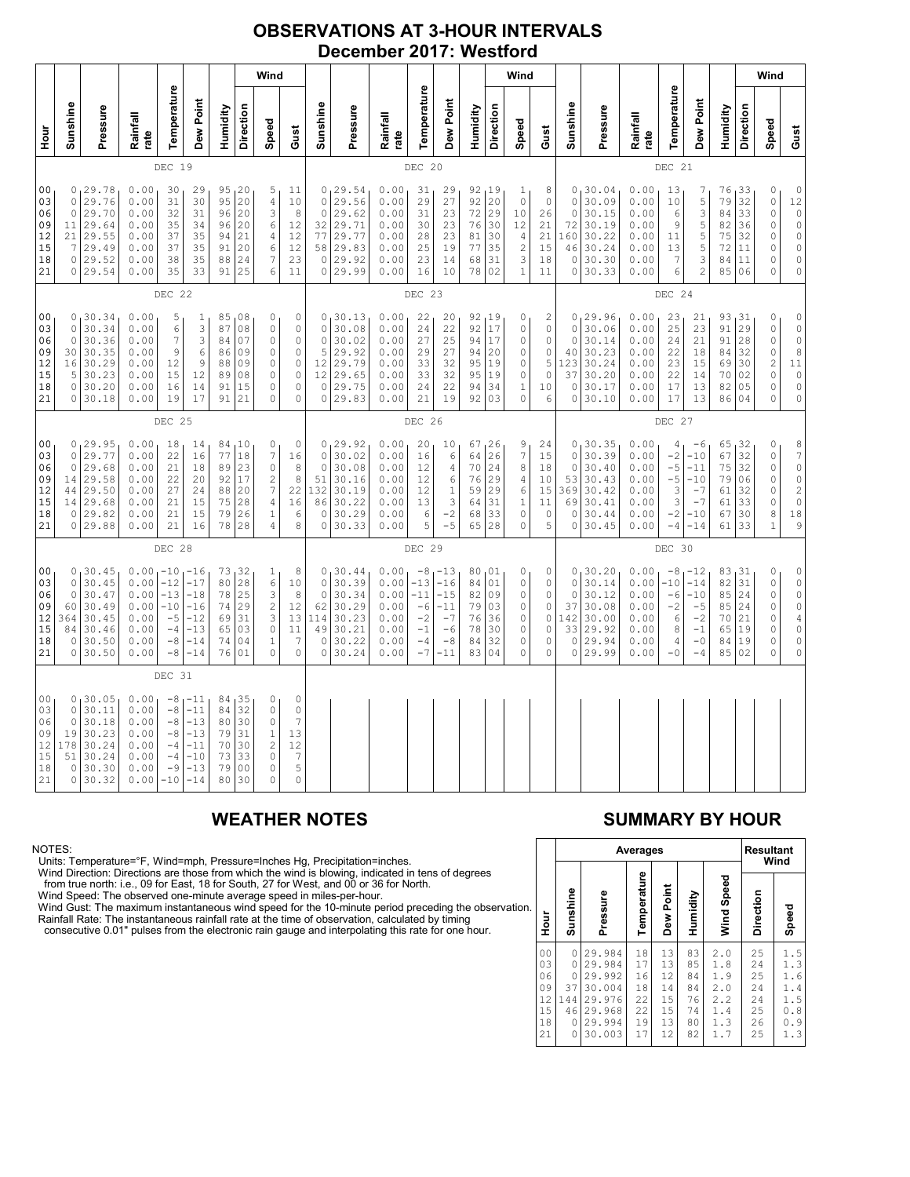### **OBSERVATIONS AT 3-HOUR INTERVALS December 2017: Westford**

|                                                          | Wind                                                   |                                                                             |                                                              |                                                                   |                                                                      |                                              |                                                              |                                                                                     |                                                                                   |                                                                         |                                                                            |                                                              |                                                                |                                                                                             | Wind                                         |                                               |                                                                      |                                                           |                                                             |                                                                         |                                                              |                                                      |                                                                   | Wind                                            |                                                |                                                                         |                                                                                                                                       |
|----------------------------------------------------------|--------------------------------------------------------|-----------------------------------------------------------------------------|--------------------------------------------------------------|-------------------------------------------------------------------|----------------------------------------------------------------------|----------------------------------------------|--------------------------------------------------------------|-------------------------------------------------------------------------------------|-----------------------------------------------------------------------------------|-------------------------------------------------------------------------|----------------------------------------------------------------------------|--------------------------------------------------------------|----------------------------------------------------------------|---------------------------------------------------------------------------------------------|----------------------------------------------|-----------------------------------------------|----------------------------------------------------------------------|-----------------------------------------------------------|-------------------------------------------------------------|-------------------------------------------------------------------------|--------------------------------------------------------------|------------------------------------------------------|-------------------------------------------------------------------|-------------------------------------------------|------------------------------------------------|-------------------------------------------------------------------------|---------------------------------------------------------------------------------------------------------------------------------------|
| Hour<br>H                                                | Sunshine                                               | Pressure                                                                    | Rainfall<br>rate                                             | Temperature                                                       | Dew Point                                                            | Humidity                                     | Direction                                                    | Speed                                                                               | Gust                                                                              | Sunshine                                                                | Pressure                                                                   | Rainfall<br>rate                                             | Temperature                                                    | Dew Point                                                                                   | Humidity                                     | Direction                                     | Speed                                                                | Gust                                                      | Sunshine                                                    | Pressure                                                                | Rainfall<br>rate                                             | Temperature                                          | Dew Point                                                         | Humidity                                        | Direction                                      | Speed                                                                   | Gust                                                                                                                                  |
|                                                          |                                                        |                                                                             |                                                              | DEC 19                                                            |                                                                      |                                              |                                                              |                                                                                     |                                                                                   |                                                                         |                                                                            |                                                              | DEC 20                                                         |                                                                                             |                                              |                                               |                                                                      |                                                           |                                                             |                                                                         |                                                              | DEC 21                                               |                                                                   |                                                 |                                                |                                                                         |                                                                                                                                       |
| 00<br>03<br>06<br>09<br>12<br>15<br>18<br>21             | 0<br>$\circ$<br>11<br>21<br>7                          | 0, 29.78<br>29.76<br>29.70<br>29.64<br>29.55<br>29.49<br>0 29.52<br>0 29.54 | 0.00<br>0.00<br>0.00<br>0.00<br>0.00<br>0.00<br>0.00<br>0.00 | 30<br>31<br>32<br>35<br>37<br>37<br>38<br>35                      | 29<br>30<br>31<br>34<br>35<br>35<br>35<br>33                         | 95<br>96<br>96<br>94<br>91<br>88<br>91       | 95, 20<br>20<br>20<br>20<br>21<br>20<br>24<br>25             | 5<br>4<br>3<br>6<br>$\overline{4}$<br>6<br>7<br>6                                   | 11<br>$10$<br>8<br>12<br>12<br>12<br>23<br>11                                     | $\mathbf 0$<br>$\mathbf 0$<br>32<br>77<br>58<br>$\circ$                 | 0, 29.54<br>29.56<br>29.62<br>29.71<br>29.77<br> 29.83<br>29.92<br>0 29.99 | 0.00<br>0.00<br>0.00<br>0.00<br>0.00<br>0.00<br>0.00<br>0.00 | 31<br>29<br>31<br>30<br>28<br>25<br>23<br>16                   | 29<br>27<br>23<br>23<br>23<br>19<br>14<br>10                                                | 92<br>92<br>72<br>76<br>81<br>77<br>68<br>78 | 19<br> 20<br>29<br>30<br>30<br>35<br>31<br>02 | 1<br>$\mathbb O$<br>10<br>12<br>$\sqrt{4}$<br>$\mathbf{2}$<br>3<br>1 | 8<br>0<br>26<br>21<br>21<br>15<br>18<br>11                | $\circ$<br>$\circ$<br>72<br>160<br>46<br>$\circ$<br>$\circ$ | 0, 30.04<br>30.09<br>30.15<br>30.19<br>30.22<br>30.24<br>30.30<br>30.33 | 0.00<br>0.00<br>0.00<br>0.00<br>0.00<br>0.00<br>0.00<br>0.00 | 13<br>10<br>6<br>9<br>11<br>13<br>7<br>6             | 7<br>5<br>3<br>5<br>5<br>5<br>3<br>2                              | 76<br>79<br>84<br>82<br>75<br>72<br>84<br>85    | 33 ر<br>32<br>33<br>36<br>32<br>11<br>11<br>06 | 0<br>0<br>$\circ$<br>$\mathbb O$<br>0<br>0<br>0<br>$\Omega$             | $\begin{matrix} 0 \\ 12 \\ 0 \end{matrix}$<br>$\mathbb O$<br>$\mathsf{O}\xspace$<br>$\mathbb O$<br>$\mathbb O$<br>$\mathsf{O}\xspace$ |
|                                                          |                                                        |                                                                             |                                                              | DEC 22                                                            |                                                                      |                                              |                                                              |                                                                                     |                                                                                   |                                                                         |                                                                            |                                                              | DEC 23                                                         |                                                                                             |                                              |                                               |                                                                      |                                                           |                                                             |                                                                         |                                                              | DEC 24                                               |                                                                   |                                                 |                                                |                                                                         |                                                                                                                                       |
| 00<br>03<br>06<br>09<br>12<br>15<br>18<br>21             | $\circ$<br>$\circ$<br>30<br>16<br>5<br>0               | 0, 30.34<br>30.34<br>30.36<br>30.35<br>30.29<br>30.23<br>30.20<br>0 30.18   | 0.00<br>0.00<br>0.00<br>0.00<br>0.00<br>0.00<br>0.00<br>0.00 | 5<br>6<br>7<br>9<br>12<br>15<br>16<br>19                          | 1<br>3<br>3<br>6<br>9<br>12<br>$1\,4$<br>17                          | 85<br>87<br>84<br>86<br>88<br>89<br>91<br>91 | 08<br>08<br>07<br>09<br>09<br>08<br>15<br>21                 | 0<br>$\mathbf 0$<br>0<br>0<br>0<br>$\circ$<br>0<br>0                                | 0<br>$\circ$<br>$\circ$<br>$\mathbb O$<br>$\mathbb O$<br>$\circ$<br>0<br>$\Omega$ | $\mathbf 0$<br>$\mathbf 0$<br>5<br>12<br>12<br>0<br>$\circ$             | 0, 30.13<br>30.08<br>30.02<br>29.92<br>29.79<br>29.65<br>29.75<br>29.83    | 0.00<br>0.00<br>0.00<br>0.00<br>0.00<br>0.00<br>0.00<br>0.00 | 22<br>24<br>27<br>29<br>33<br>33<br>24<br>21                   | 20<br>22<br>25<br>27<br>32<br>32<br>22<br>19                                                | 92<br>92<br>94<br>94<br>95<br>95<br>94<br>92 | 19<br>17<br>17<br>20<br>19<br>19<br>34<br>03  | 0<br>0<br>0<br>0<br>0<br>$\mathsf{O}\xspace$<br>1<br>$\circ$         | 2<br>$\mathbb O$<br>0<br>0<br>5<br>$\mathbb O$<br>10<br>6 | $\circ$<br>$\circ$<br>40<br>123<br>37<br>0<br>$\circ$       | 0, 29.96<br>30.06<br>30.14<br>30.23<br>30.24<br>30.20<br>30.17<br>30.10 | 0.00<br>0.00<br>0.00<br>0.00<br>0.00<br>0.00<br>0.00<br>0.00 | 23<br>25<br>24<br>22<br>23<br>22<br>17<br>17         | 21<br>23<br>21<br>18<br>15<br>14<br>13<br>13                      | 93,31<br>91<br>91<br>84<br>69<br>70<br>82<br>86 | 29<br>28<br>32<br>30<br>02<br>05<br>04         | 0<br>$\circ$<br>0<br>0<br>$\overline{c}$<br>$\mathbb O$<br>0<br>$\circ$ | $\circ$<br>$\circ$<br>$\mathbb O$<br>$\overline{8}$<br>$1\,1$<br>$\mathbb O$<br>$\mathbb O$<br>$\circ$                                |
|                                                          | DEC 25                                                 |                                                                             |                                                              |                                                                   |                                                                      |                                              |                                                              |                                                                                     | DEC 26                                                                            |                                                                         |                                                                            |                                                              |                                                                |                                                                                             |                                              |                                               |                                                                      | DEC 27                                                    |                                                             |                                                                         |                                                              |                                                      |                                                                   |                                                 |                                                |                                                                         |                                                                                                                                       |
| 00<br>03<br>06<br>09<br>12<br>15<br>18<br>21             | $\circ$<br>$\circ$<br>14<br>44<br>14                   | 0, 29.95<br>29.77<br>29.68<br>29.58<br>29.50<br>29.68<br>0 29.82<br>0 29.88 | 0.00<br>0.00<br>0.00<br>0.00<br>0.00<br>0.00<br>0.00<br>0.00 | 18<br>22<br>21<br>22<br>27<br>21<br>21<br>21                      | 14<br>16<br>18<br>20<br>24<br>15<br>15<br>16                         | 77<br>89<br>92<br>88<br>75<br>79<br>78       | 84, 10<br>18<br>23<br>17<br>20<br>28<br>26<br>28             | 0<br>7<br>$\mathbf 0$<br>$\mathbf{2}$<br>$\boldsymbol{7}$<br>4<br>$\mathbf{1}$<br>4 | 0<br>16<br>8<br>8<br>22<br>16<br>6<br>8                                           | $\mathbf 0$<br>$\circ$<br>51<br>132<br>86<br>$\mathbf 0$<br>$\mathbb O$ | 0, 29.92<br>30.02<br>30.08<br>30.16<br>30.19<br>30.22<br>30.29<br>30.33    | 0.00<br>0.00<br>0.00<br>0.00<br>0.00<br>0.00<br>0.00<br>0.00 | 20<br>16<br>12<br>12<br>12<br>13<br>6<br>5                     | 10<br>6<br>$\overline{4}$<br>6<br>$\mathbf{1}$<br>$\ensuremath{\mathsf{3}}$<br>$-2$<br>$-5$ | 67<br>64<br>70<br>76<br>59<br>64<br>68<br>65 | 126<br>26<br>24<br>29<br>29<br>31<br>33<br>28 | 9<br>$\boldsymbol{7}$<br>8<br>4<br>6<br>1<br>0<br>0                  | 24<br>15<br>18<br>10<br>15<br>11<br>0<br>5                | $\circ$<br>$\circ$<br>53<br>369<br>69<br>0<br>0             | 0, 30.35<br>30.39<br>30.40<br>30.43<br>30.42<br>30.41<br>30.44<br>30.45 | 0.00<br>0.00<br>0.00<br>0.00<br>0.00<br>0.00<br>0.00<br>0.00 | 4<br>$-2$<br>$-5$<br>$-5$<br>3<br>3<br>$-2$<br>$-4$  | $-6$<br>$-10$<br>$-11$<br>$-10$<br>$-7$<br>$-7$<br>$-10$<br>$-14$ | 65<br>67<br>75<br>79<br>61<br>61<br>67<br>61    | 32  <br>32<br>32<br>06<br>32<br>33<br>30<br>33 | 0<br>$\mathbb O$<br>0<br>$\circ$<br>0<br>0<br>8<br>1                    | 8<br>7<br>0<br>$\circ$<br>$\begin{array}{c} 2 \\ 0 \end{array}$<br>$1\,8$<br>9                                                        |
|                                                          |                                                        |                                                                             |                                                              | DEC 28                                                            |                                                                      |                                              |                                                              |                                                                                     |                                                                                   |                                                                         |                                                                            |                                                              | DEC 29                                                         |                                                                                             |                                              |                                               |                                                                      |                                                           |                                                             |                                                                         |                                                              | DEC 30                                               |                                                                   |                                                 |                                                |                                                                         |                                                                                                                                       |
| 0 <sub>0</sub><br>03<br>06<br>09<br>12<br>15<br>18<br>21 | 0<br>$\circ$<br>$\Omega$<br>60<br>364<br>84<br>$\circ$ | 30.45<br>30.45<br>30.47<br>30.49<br>30.45<br>30.46<br>30.50<br>0 30.50      | 0.00<br>0.00<br>0.00<br>0.00<br>0.00<br>0.00<br>0.00<br>0.00 | $1 - 10$<br>$-12$<br>$-13$<br>$-10$<br>$-5$<br>$-4$<br>$-8$<br>-8 | $-16$<br>$-17$<br>$-18$<br>$-16$<br>$-12$<br>$-13$<br>$-14$<br>$-14$ | 73<br>80<br>78<br>74<br>69<br>65<br>74<br>76 | 32<br>28<br>25<br>29<br>31<br>03<br>04<br>01                 | 1<br>6<br>3<br>$\sqrt{2}$<br>3<br>$\mathbf 0$<br>$\mathbf{1}$<br>0                  | 8<br>10<br>8<br>12<br>13<br>11<br>7<br>$\mathbf 0$                                | $\mathbb O$<br>$\Omega$<br>62<br>114<br>49<br>$\circ$<br>0              | 0, 30.44<br>30.39<br>30.34<br>30.29<br>30.23<br>30.21<br>30.22<br>30.24    | 0.00<br>0.00<br>0.00<br>0.00<br>0.00<br>0.00<br>0.00<br>0.00 | $-8$<br>$-13$<br>$-11$<br>$-6$<br>$-2$<br>$-1$<br>$-4$<br>$-7$ | $-13$<br>$-16$<br>$-15$<br>$-11$<br>$-7$<br>$-6$<br>$-8$<br>$-11$                           | 80<br>84<br>82<br>79<br>76<br>78<br>84<br>83 | 01<br>01<br>09<br>03<br>36<br>30<br>32<br>04  | 0<br>0<br>0<br>0<br>0<br>0<br>0<br>0                                 | 0<br>0<br>$\mathbb O$<br>0<br>0<br>0<br>0<br>0            | $\circ$<br>$\Omega$<br>37<br>142<br>33<br>$\circ$<br>0      | 0, 30.20<br>30.14<br>30.12<br>30.08<br>30.00<br>29.92<br>29.94<br>29.99 | 0.00<br>0.00<br>0.00<br>0.00<br>0.00<br>0.00<br>0.00<br>0.00 | $-8$<br>$-10$<br>$-6$<br>$-2$<br>6<br>8<br>4<br>$-0$ | $-12$<br>$-14$<br>$-10$<br>$-5$<br>$-2$<br>$-1$<br>$-0$<br>$-4$   | 83<br>82<br>85<br>85<br>70<br>65<br>84<br>85    | 131<br>31<br>24<br>24<br>21<br>19<br>19<br>02  | 0<br>$\mathbb O$<br>0<br>0<br>0<br>$\circ$<br>$\mathbb O$<br>$\Omega$   | $\begin{smallmatrix}0\\0\\0\end{smallmatrix}$<br>$\circ$<br>$\circ$<br>$\sqrt{4}$<br>$\circ$<br>$\circ$<br>$\mathbb O$                |
|                                                          |                                                        |                                                                             |                                                              | DEC 31                                                            |                                                                      |                                              |                                                              |                                                                                     |                                                                                   |                                                                         |                                                                            |                                                              |                                                                |                                                                                             |                                              |                                               |                                                                      |                                                           |                                                             |                                                                         |                                                              |                                                      |                                                                   |                                                 |                                                |                                                                         |                                                                                                                                       |
| 0 <sub>0</sub><br>03<br>06<br>09<br>12<br>15<br>18<br>21 | 0<br>0<br>$\circ$<br>19<br>178<br>51<br>0<br>0         | 30.05<br>30.11<br>30.18<br>30.23<br>30.24<br>30.24<br>30.30<br>30.32        | 0.00<br>0.00<br>0.00<br>0.00<br>0.00<br>0.00<br>0.00<br>0.00 | $-8$<br>$-8$<br>$-8$<br>$-8$<br>$-4$<br>$-4$<br>$-9$<br>-10       | $-11$<br>$-11$<br>$-13$<br>$-13$<br>$-11$<br>$-10$<br>$-13$<br>$-14$ | 84<br>80<br>79<br>70<br>73<br>79<br>80       | 84, 35<br>32<br>30<br>31<br>30<br>33<br>0 <sub>0</sub><br>30 | 0<br>$\mathsf{O}\xspace$<br>0<br>$1\,$<br>$\sqrt{2}$<br>0<br>0<br>$\Omega$          | 0<br>$\circ$<br>$\overline{7}$<br>13<br>12<br>$\boldsymbol{7}$<br>5<br>$\Omega$   |                                                                         |                                                                            |                                                              |                                                                |                                                                                             |                                              |                                               |                                                                      |                                                           |                                                             |                                                                         |                                                              |                                                      |                                                                   |                                                 |                                                |                                                                         |                                                                                                                                       |

NOTES:<br>Units: Temperature=°F, Wind=mph, Pressure=Inches Hg, Precipitation=inches.<br>Units: Temperature=°F, Wind=mph, Pressure=Inches Hg, Precipitation=inches.<br>
Yind Direction: Directions are those from which the wind is blow

## **WEATHER NOTES SUMMARY BY HOUR**

|    |                                                          |                                                               | Averages                                                                     | <b>Resultant</b><br>Wind                     |                                              |                                              |                                                      |                                              |                                                               |
|----|----------------------------------------------------------|---------------------------------------------------------------|------------------------------------------------------------------------------|----------------------------------------------|----------------------------------------------|----------------------------------------------|------------------------------------------------------|----------------------------------------------|---------------------------------------------------------------|
| n. | Hour                                                     | Sunshine                                                      | Pressure                                                                     | Temperature                                  | Dew Point                                    | Humidity                                     | Wind Speed                                           | Direction                                    | Speed                                                         |
|    | 0 <sub>0</sub><br>03<br>06<br>09<br>12<br>15<br>18<br>21 | 0<br>0<br>$\Omega$<br>37<br>144<br>46<br>$\Omega$<br>$\Omega$ | 29.984<br>29.984<br>29.992<br>30.004<br>29.976<br>29.968<br>29.994<br>30.003 | 18<br>17<br>16<br>18<br>22<br>22<br>19<br>17 | 13<br>13<br>12<br>14<br>15<br>15<br>13<br>12 | 83<br>85<br>84<br>84<br>76<br>74<br>80<br>82 | 2.0<br>1.8<br>1.9<br>2.0<br>2.2<br>1.4<br>1.3<br>1.7 | 25<br>24<br>25<br>24<br>24<br>25<br>26<br>25 | 1.5<br>1.3<br>1.6<br>1.4<br>1.5<br>.8<br>0<br>. 9<br>0<br>1.3 |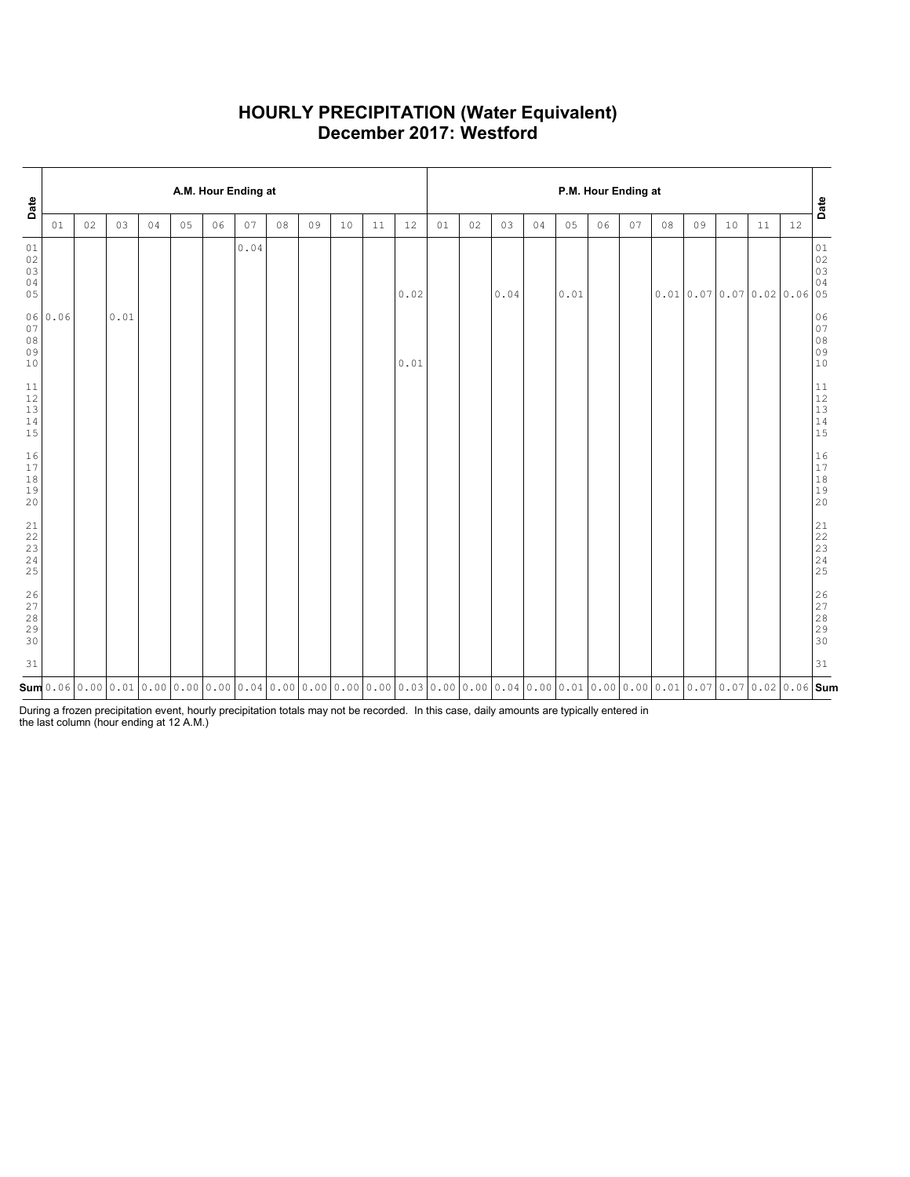### **HOURLY PRECIPITATION (Water Equivalent) December 2017: Westford**

| Date                                  |         | A.M. Hour Ending at |      |    |    |    |      |    |    |    |    |      |    |    |      | P.M. Hour Ending at |                                                                                                                                                                                                                                                                                                                                                              |    |    |    |    |                               |    |      |                                                                 |  |  |  |
|---------------------------------------|---------|---------------------|------|----|----|----|------|----|----|----|----|------|----|----|------|---------------------|--------------------------------------------------------------------------------------------------------------------------------------------------------------------------------------------------------------------------------------------------------------------------------------------------------------------------------------------------------------|----|----|----|----|-------------------------------|----|------|-----------------------------------------------------------------|--|--|--|
|                                       | 01      | 02                  | 03   | 04 | 05 | 06 | 07   | 08 | 09 | 10 | 11 | 12   | 01 | 02 | 03   | 04                  | 05                                                                                                                                                                                                                                                                                                                                                           | 06 | 07 | 08 | 09 | 10                            | 11 | $12$ | Date                                                            |  |  |  |
| 01<br>02<br>03<br>04<br>05            |         |                     |      |    |    |    | 0.04 |    |    |    |    | 0.02 |    |    | 0.04 |                     | $0\,.\,01$                                                                                                                                                                                                                                                                                                                                                   |    |    |    |    | $0.01$ 0.07 0.07 0.02 0.06 05 |    |      | $01$<br>$02$<br>$03$<br>04                                      |  |  |  |
| 07<br>08<br>09<br>10                  | 06 0.06 |                     | 0.01 |    |    |    |      |    |    |    |    | 0.01 |    |    |      |                     |                                                                                                                                                                                                                                                                                                                                                              |    |    |    |    |                               |    |      | 06<br>$07$<br>$08$<br>$09$<br>10                                |  |  |  |
| 11<br>12<br>13<br>14<br>15            |         |                     |      |    |    |    |      |    |    |    |    |      |    |    |      |                     |                                                                                                                                                                                                                                                                                                                                                              |    |    |    |    |                               |    |      | $\begin{array}{c} 11 \\ 12 \\ 13 \\ 14 \\ 15 \end{array}$       |  |  |  |
| 16<br>17<br>18<br>19<br>20            |         |                     |      |    |    |    |      |    |    |    |    |      |    |    |      |                     |                                                                                                                                                                                                                                                                                                                                                              |    |    |    |    |                               |    |      | $\begin{array}{c} 16 \\ 17 \end{array}$<br>$18$<br>$19$<br>$20$ |  |  |  |
| 21<br>22<br>23<br>24<br>25            |         |                     |      |    |    |    |      |    |    |    |    |      |    |    |      |                     |                                                                                                                                                                                                                                                                                                                                                              |    |    |    |    |                               |    |      | 21<br>22<br>23<br>24<br>25                                      |  |  |  |
| $\frac{26}{27}$<br>$2\,8$<br>29<br>30 |         |                     |      |    |    |    |      |    |    |    |    |      |    |    |      |                     |                                                                                                                                                                                                                                                                                                                                                              |    |    |    |    |                               |    |      | 26<br>27<br>28<br>29<br>30                                      |  |  |  |
| 31                                    |         |                     |      |    |    |    |      |    |    |    |    |      |    |    |      |                     |                                                                                                                                                                                                                                                                                                                                                              |    |    |    |    |                               |    |      | 31                                                              |  |  |  |
|                                       |         |                     |      |    |    |    |      |    |    |    |    |      |    |    |      |                     | $\mathsf{sum}[\mathsf{0.06}[\mathsf{0.00}[\mathsf{0.01}[\mathsf{0.00}[\mathsf{0.00}[\mathsf{0.00}[\mathsf{0.04}[\mathsf{0.00}[\mathsf{0.00}[\mathsf{0.00}[\mathsf{0.00}[\mathsf{0.00}[\mathsf{0.03}[\mathsf{0.00}[\mathsf{0.00}[\mathsf{0.00}[\mathsf{0.01}[\mathsf{0.00}[\mathsf{0.01}[\mathsf{0.00}[\mathsf{0.01}[\mathsf{0.00}[\mathsf{0.01}[\mathsf{0.0$ |    |    |    |    |                               |    |      |                                                                 |  |  |  |

During a frozen precipitation event, hourly precipitation totals may not be recorded. In this case, daily amounts are typically entered in the last column (hour ending at 12 A.M.)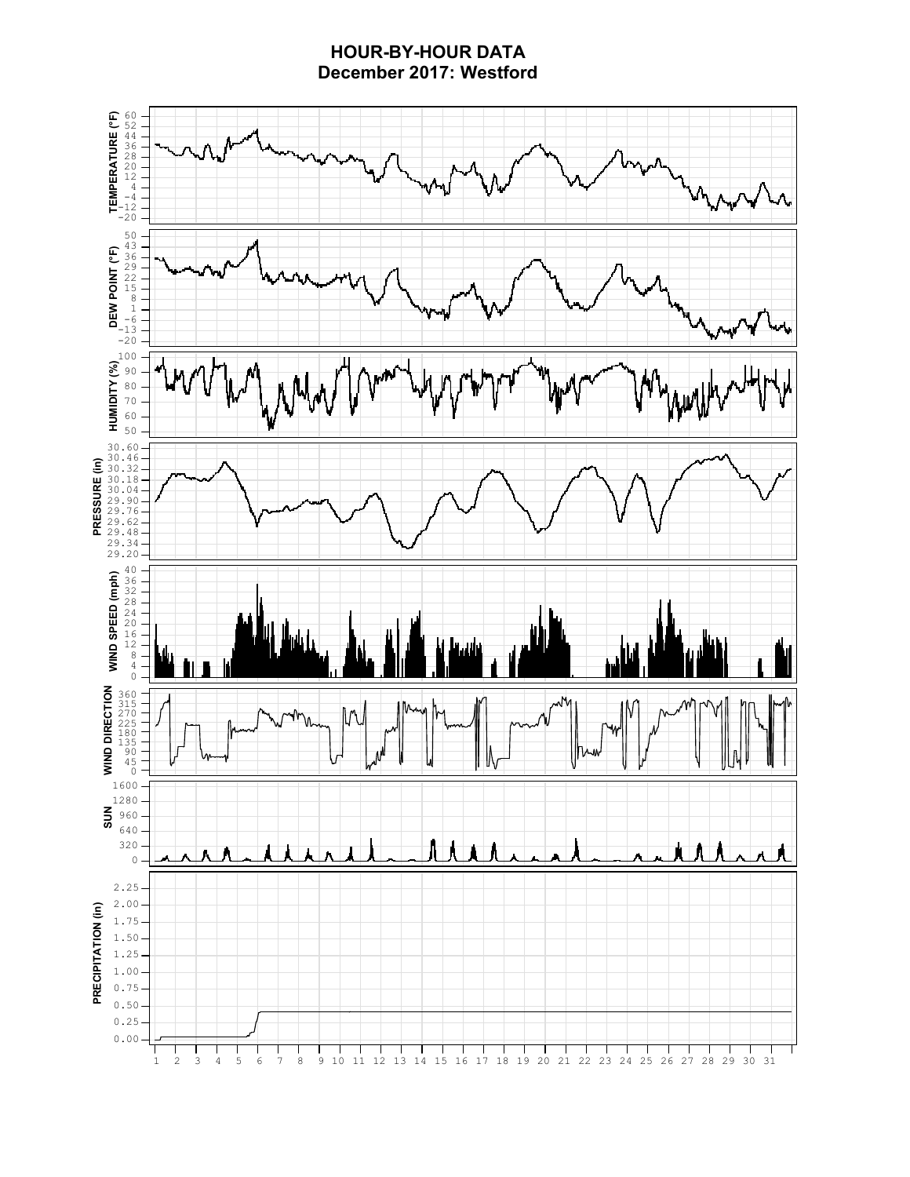### **HOUR-BY-HOUR DATA December 2017: Westford**